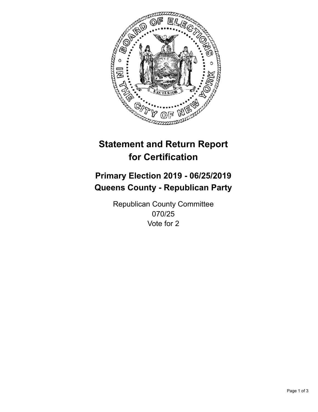

## **Statement and Return Report for Certification**

## **Primary Election 2019 - 06/25/2019 Queens County - Republican Party**

Republican County Committee 070/25 Vote for 2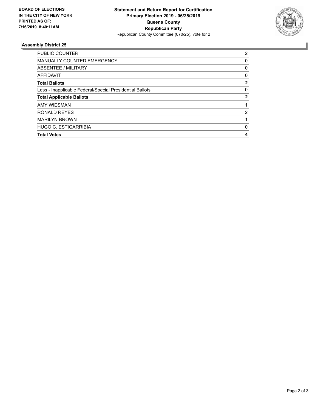

## **Assembly District 25**

| <b>PUBLIC COUNTER</b>                                    | 2            |
|----------------------------------------------------------|--------------|
| <b>MANUALLY COUNTED EMERGENCY</b>                        | 0            |
| ABSENTEE / MILITARY                                      | 0            |
| <b>AFFIDAVIT</b>                                         | 0            |
| <b>Total Ballots</b>                                     | $\mathbf{2}$ |
| Less - Inapplicable Federal/Special Presidential Ballots | 0            |
| <b>Total Applicable Ballots</b>                          | $\mathbf{2}$ |
| <b>AMY WIESMAN</b>                                       |              |
| RONALD REYES                                             | 2            |
| <b>MARILYN BROWN</b>                                     |              |
| <b>HUGO C. ESTIGARRIBIA</b>                              | 0            |
| <b>Total Votes</b>                                       | 4            |